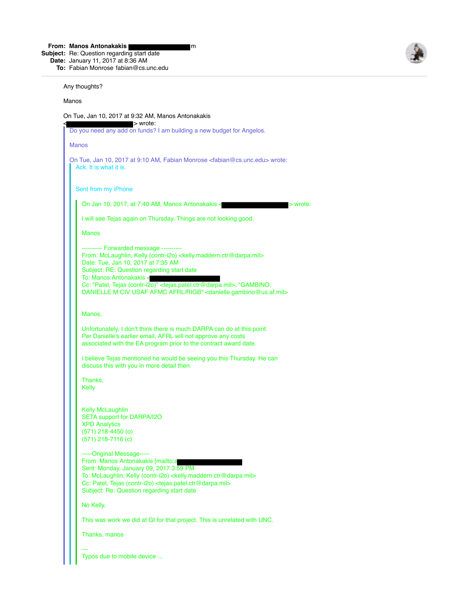**From: Manos Antonakakis** m

**Subject:** Re: Question regarding start date

**Date:** January 11, 2017 at 8:36 AM **To:** Fabian Monrose fabian@cs.unc.edu



Any thoughts?

Manos

On Tue, Jan 10, 2017 at 9:32 AM, Manos Antonakakis

 $>$  wrote: Do you need any add on funds? I am building a new budget for Angelos. Manos On Tue, Jan 10, 2017 at 9:10 AM, Fabian Monrose <fabian@cs.unc.edu> wrote: Ack. It is what it is. Sent from my iPhone On Jan 10, 2017, at 7:40 AM, Manos Antonakakis < $\sim$ I will see Tejas again on Thursday. Things are not looking good. Manos ---------- Forwarded message ---------- From: McLaughlin, Kelly (contr-i2o) <kelly.maddern.ctr@darpa.mil> Date: Tue, Jan 10, 2017 at 7:35 AM Subject: RE: Question regarding start date To: Manos Antonakakis < Cc: "Patel, Tejas (contr-i2o)" <tejas.patel.ctr@darpa.mil>, "GAMBINO, DANIELLE M CIV USAF AFMC AFRL/RIGB" <danielle.gambino@us.af.mil> Manos, Unfortunately, I don't think there is much DARPA can do at this point. Per Danielle's earlier email, AFRL will not approve any costs associated with the EA program prior to the contract award date. I believe Tejas mentioned he would be seeing you this Thursday. He can discuss this with you in more detail then. Thanks, Kelly Kelly McLaughlin SETA support for DARPA/I2O XPD Analytics (571) 218-4450 (o) (571) 218-7116 (c) -----Original Message----- From: Manos Antonakakis [mailto:a Sent: Monday, January 09, 2017 3:59 PM To: McLaughlin, Kelly (contr-i2o) <kelly.maddern.ctr@darpa.mil> Cc: Patel, Tejas (contr-i2o) <tejas.patel.ctr@darpa.mil> Subject: Re: Question regarding start date No Kelly, This was work we did at Gt for that project. This is unrelated with UNC. Thanks, manos --- Typos due to mobile device ...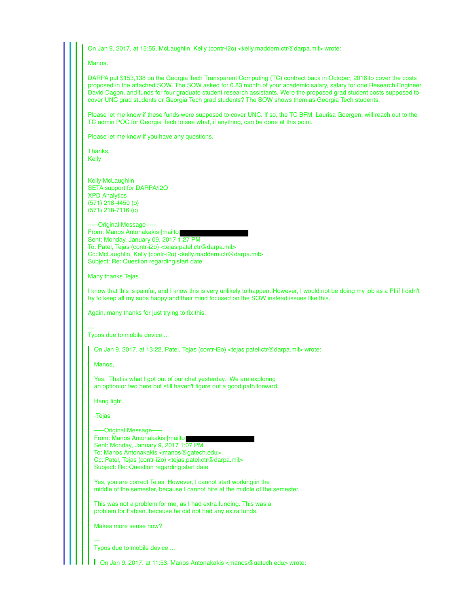On Jan 9, 2017, at 15:55, McLaughlin, Kelly (contr-i2o) <kelly.maddern.ctr@darpa.mil> wrote:

**Manos** 

DARPA put \$153,138 on the Georgia Tech Transparent Computing (TC) contract back in October, 2016 to cover the costs proposed in the attached SOW. The SOW asked for 0.83 month of your academic salary, salary for one Research Engineer, David Dagon, and funds for four graduate student research assistants. Were the proposed grad student costs supposed to cover UNC grad students or Georgia Tech grad students? The SOW shows them as Georgia Tech students.

Please let me know if these funds were supposed to cover UNC. If so, the TC BFM, Laurisa Goergen, will reach out to the TC admin POC for Georgia Tech to see what, if anything, can be done at this point.

Please let me know if you have any questions.

Thanks, Kelly

Kelly McLaughlin SETA support for DARPA/I2O XPD Analytics (571) 218-4450 (o) (571) 218-7116 (c)

-----Original Message----- From: Manos Antonakakis [mailto: Sent: Monday, January 09, 2017 1:27 PM To: Patel, Tejas (contr-i2o) <tejas.patel.ctr@darpa.mil> Cc: McLaughlin, Kelly (contr-i2o) <kelly.maddern.ctr@darpa.mil> Subject: Re: Question regarding start date

Many thanks Tejas.

I know that this is painful, and I know this is very unlikely to happen. However, I would not be doing my job as a PI if I didn't try to keep all my subs happy and their mind focused on the SOW instead issues like this.

Again, many thanks for just trying to fix this.

--- Typos due to mobile device ...

On Jan 9, 2017, at 13:22, Patel, Tejas (contr-i2o) <tejas.patel.ctr@darpa.mil> wrote:

Manos,

Yes. That is what I got out of our chat yesterday. We are exploring an option or two here but still haven't figure out a good path forward.

Hang tight.

-Tejas

-----Original Message-----

From: Manos Antonakakis [mailto: Sent: Monday, January 9, 2017 1:07 PM To: Manos Antonakakis <manos@gatech.edu> Cc: Patel, Tejas (contr-i2o) <tejas.patel.ctr@darpa.mil> Subject: Re: Question regarding start date

Yes, you are correct Tejas. However, I cannot start working in the middle of the semester, because I cannot hire at the middle of the semester.

This was not a problem for me, as I had extra funding. This was a problem for Fabian, because he did not had any extra funds.

Makes more sense now?

---

Typos due to mobile device ...

On Jan 9, 2017, at 11:53, Manos Antonakakis <manos@gatech.edu> wrote: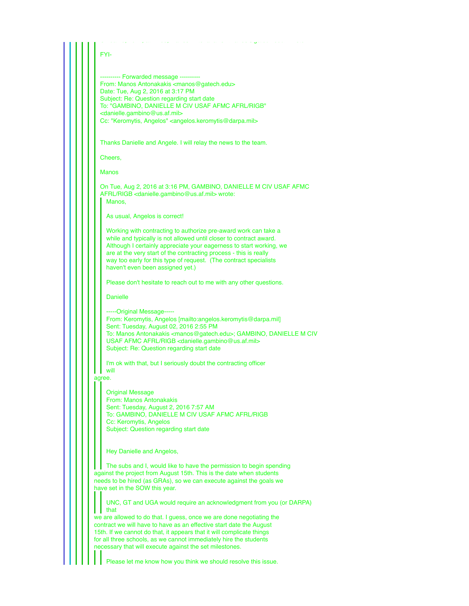## FYI-

--- Forwarded message ------From: Manos Antonakakis <manos@gatech.edu> Date: Tue, Aug 2, 2016 at 3:17 PM Subject: Re: Question regarding start date To: "GAMBINO, DANIELLE M CIV USAF AFMC AFRL/RIGB" <danielle.gambino@us.af.mil> Cc: "Keromytis, Angelos" <angelos.keromytis@darpa.mil>

Thanks Danielle and Angele. I will relay the news to the team.

Cheers,

Manos

On Tue, Aug 2, 2016 at 3:16 PM, GAMBINO, DANIELLE M CIV USAF AFMC AFRL/RIGB <danielle.gambino@us.af.mil> wrote: Manos,

On Jan 9, 2017, at 11:53, Manos Antonakakis <manos@gatech.edu> wrote:

As usual, Angelos is correct!

Working with contracting to authorize pre-award work can take a while and typically is not allowed until closer to contract award. Although I certainly appreciate your eagerness to start working, we are at the very start of the contracting process - this is really way too early for this type of request. (The contract specialists haven't even been assigned yet.)

Please don't hesitate to reach out to me with any other questions.

Danielle

-----Original Message----- From: Keromytis, Angelos [mailto:angelos.keromytis@darpa.mil] Sent: Tuesday, August 02, 2016 2:55 PM To: Manos Antonakakis <manos@gatech.edu>; GAMBINO, DANIELLE M CIV USAF AFMC AFRL/RIGB <danielle.gambino@us.af.mil> Subject: Re: Question regarding start date

I'm ok with that, but I seriously doubt the contracting officer will

agree.

Original Message

From: Manos Antonakakis Sent: Tuesday, August 2, 2016 7:57 AM To: GAMBINO, DANIELLE M CIV USAF AFMC AFRL/RIGB Cc: Keromytis, Angelos Subject: Question regarding start date

Hey Danielle and Angelos,

The subs and I, would like to have the permission to begin spending against the project from August 15th. This is the date when students needs to be hired (as GRAs), so we can execute against the goals we have set in the SOW this year.

UNC, GT and UGA would require an acknowledgment from you (or DARPA) that we are allowed to do that. I quess, once we are done negotiating the

contract we will have to have as an effective start date the August 15th. If we cannot do that, it appears that it will complicate things for all three schools, as we cannot immediately hire the students necessary that will execute against the set milestones.

Please let me know how you think we should resolve this issue.